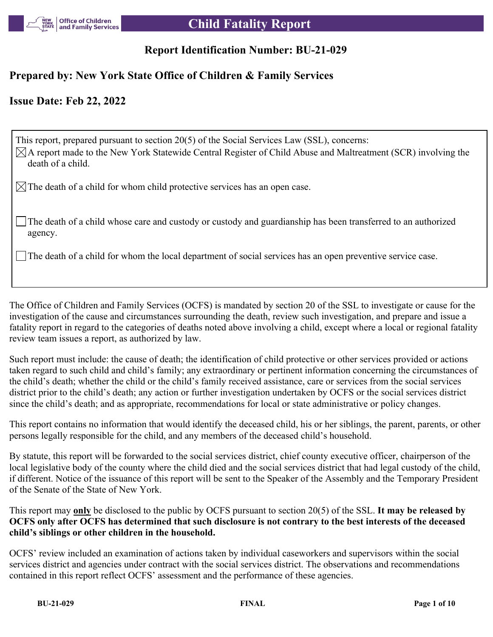

# **Report Identification Number: BU-21-029**

## **Prepared by: New York State Office of Children & Family Services**

## **Issue Date: Feb 22, 2022**

This report, prepared pursuant to section 20(5) of the Social Services Law (SSL), concerns:  $\boxtimes$ A report made to the New York Statewide Central Register of Child Abuse and Maltreatment (SCR) involving the death of a child.

 $\boxtimes$  The death of a child for whom child protective services has an open case.

The death of a child whose care and custody or custody and guardianship has been transferred to an authorized agency.

The death of a child for whom the local department of social services has an open preventive service case.

The Office of Children and Family Services (OCFS) is mandated by section 20 of the SSL to investigate or cause for the investigation of the cause and circumstances surrounding the death, review such investigation, and prepare and issue a fatality report in regard to the categories of deaths noted above involving a child, except where a local or regional fatality review team issues a report, as authorized by law.

Such report must include: the cause of death; the identification of child protective or other services provided or actions taken regard to such child and child's family; any extraordinary or pertinent information concerning the circumstances of the child's death; whether the child or the child's family received assistance, care or services from the social services district prior to the child's death; any action or further investigation undertaken by OCFS or the social services district since the child's death; and as appropriate, recommendations for local or state administrative or policy changes.

This report contains no information that would identify the deceased child, his or her siblings, the parent, parents, or other persons legally responsible for the child, and any members of the deceased child's household.

By statute, this report will be forwarded to the social services district, chief county executive officer, chairperson of the local legislative body of the county where the child died and the social services district that had legal custody of the child, if different. Notice of the issuance of this report will be sent to the Speaker of the Assembly and the Temporary President of the Senate of the State of New York.

This report may **only** be disclosed to the public by OCFS pursuant to section 20(5) of the SSL. **It may be released by OCFS only after OCFS has determined that such disclosure is not contrary to the best interests of the deceased child's siblings or other children in the household.**

OCFS' review included an examination of actions taken by individual caseworkers and supervisors within the social services district and agencies under contract with the social services district. The observations and recommendations contained in this report reflect OCFS' assessment and the performance of these agencies.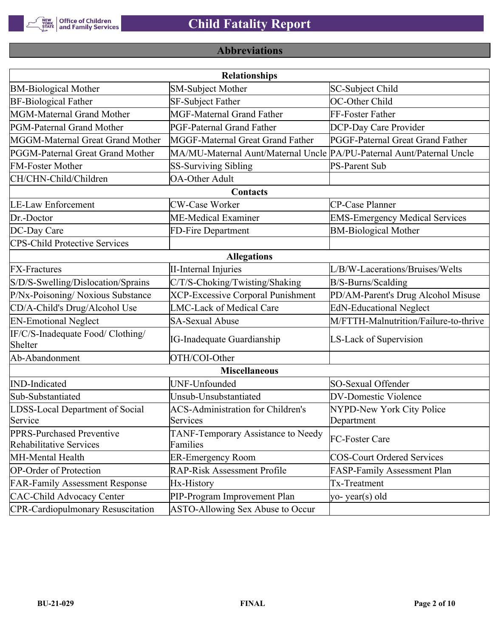

# **Abbreviations**

|                                                      | <b>Relationships</b>                                                  |                                       |  |  |  |  |
|------------------------------------------------------|-----------------------------------------------------------------------|---------------------------------------|--|--|--|--|
| <b>BM-Biological Mother</b>                          | <b>SM-Subject Mother</b>                                              | SC-Subject Child                      |  |  |  |  |
| <b>BF-Biological Father</b>                          | SF-Subject Father                                                     | OC-Other Child                        |  |  |  |  |
| MGM-Maternal Grand Mother                            | <b>MGF-Maternal Grand Father</b>                                      | FF-Foster Father                      |  |  |  |  |
| PGM-Paternal Grand Mother                            | PGF-Paternal Grand Father                                             | DCP-Day Care Provider                 |  |  |  |  |
| MGGM-Maternal Great Grand Mother                     | MGGF-Maternal Great Grand Father                                      | PGGF-Paternal Great Grand Father      |  |  |  |  |
| PGGM-Paternal Great Grand Mother                     | MA/MU-Maternal Aunt/Maternal Uncle PA/PU-Paternal Aunt/Paternal Uncle |                                       |  |  |  |  |
| <b>FM-Foster Mother</b>                              | <b>SS-Surviving Sibling</b>                                           | <b>PS-Parent Sub</b>                  |  |  |  |  |
| CH/CHN-Child/Children                                | <b>OA-Other Adult</b>                                                 |                                       |  |  |  |  |
|                                                      | Contacts                                                              |                                       |  |  |  |  |
| <b>LE-Law Enforcement</b>                            | <b>CW-Case Worker</b>                                                 | CP-Case Planner                       |  |  |  |  |
| Dr.-Doctor                                           | ME-Medical Examiner                                                   | <b>EMS-Emergency Medical Services</b> |  |  |  |  |
| DC-Day Care                                          | FD-Fire Department                                                    | <b>BM-Biological Mother</b>           |  |  |  |  |
| <b>CPS-Child Protective Services</b>                 |                                                                       |                                       |  |  |  |  |
|                                                      | <b>Allegations</b>                                                    |                                       |  |  |  |  |
| <b>FX-Fractures</b>                                  | <b>II-Internal Injuries</b>                                           | L/B/W-Lacerations/Bruises/Welts       |  |  |  |  |
| S/D/S-Swelling/Dislocation/Sprains                   | C/T/S-Choking/Twisting/Shaking                                        | B/S-Burns/Scalding                    |  |  |  |  |
| P/Nx-Poisoning/ Noxious Substance                    | <b>XCP-Excessive Corporal Punishment</b>                              | PD/AM-Parent's Drug Alcohol Misuse    |  |  |  |  |
| CD/A-Child's Drug/Alcohol Use                        | <b>LMC-Lack of Medical Care</b>                                       | <b>EdN-Educational Neglect</b>        |  |  |  |  |
| <b>EN-Emotional Neglect</b>                          | <b>SA-Sexual Abuse</b>                                                | M/FTTH-Malnutrition/Failure-to-thrive |  |  |  |  |
| IF/C/S-Inadequate Food/ Clothing/<br>Shelter         | <b>IG-Inadequate Guardianship</b>                                     | LS-Lack of Supervision                |  |  |  |  |
| Ab-Abandonment                                       | OTH/COI-Other                                                         |                                       |  |  |  |  |
|                                                      | <b>Miscellaneous</b>                                                  |                                       |  |  |  |  |
| <b>IND-Indicated</b>                                 | UNF-Unfounded                                                         | SO-Sexual Offender                    |  |  |  |  |
| Sub-Substantiated                                    | Unsub-Unsubstantiated                                                 | <b>DV-Domestic Violence</b>           |  |  |  |  |
| LDSS-Local Department of Social                      | <b>ACS-Administration for Children's</b>                              | NYPD-New York City Police             |  |  |  |  |
| Service                                              | Services                                                              | Department                            |  |  |  |  |
| PPRS-Purchased Preventive<br>Rehabilitative Services | TANF-Temporary Assistance to Needy<br>Families                        | FC-Foster Care                        |  |  |  |  |
| MH-Mental Health                                     | <b>ER-Emergency Room</b>                                              | <b>COS-Court Ordered Services</b>     |  |  |  |  |
| <b>OP-Order of Protection</b>                        | <b>RAP-Risk Assessment Profile</b>                                    | FASP-Family Assessment Plan           |  |  |  |  |
| <b>FAR-Family Assessment Response</b>                | Hx-History                                                            | Tx-Treatment                          |  |  |  |  |
| <b>CAC-Child Advocacy Center</b>                     | PIP-Program Improvement Plan                                          | yo-year(s) old                        |  |  |  |  |
| <b>CPR-Cardiopulmonary Resuscitation</b>             | ASTO-Allowing Sex Abuse to Occur                                      |                                       |  |  |  |  |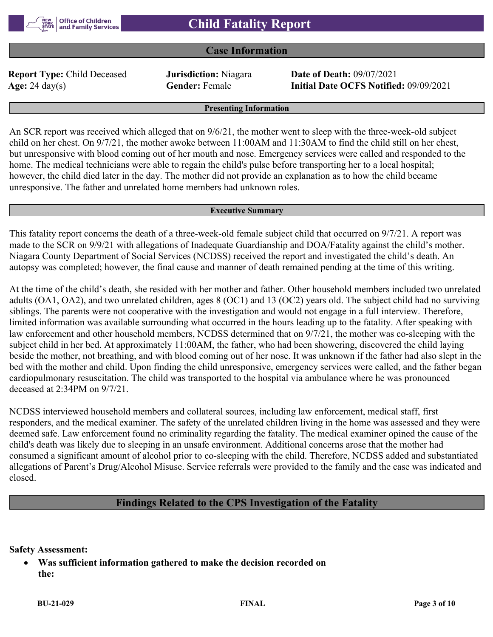#### **Case Information**

**Report Type:** Child Deceased **Jurisdiction:** Niagara **Date of Death:** 09/07/2021

**Age:** 24 day(s) **Gender:** Female **Initial Date OCFS Notified:** 09/09/2021

**Presenting Information**

An SCR report was received which alleged that on 9/6/21, the mother went to sleep with the three-week-old subject child on her chest. On 9/7/21, the mother awoke between 11:00AM and 11:30AM to find the child still on her chest, but unresponsive with blood coming out of her mouth and nose. Emergency services were called and responded to the home. The medical technicians were able to regain the child's pulse before transporting her to a local hospital; however, the child died later in the day. The mother did not provide an explanation as to how the child became unresponsive. The father and unrelated home members had unknown roles.

#### **Executive Summary**

This fatality report concerns the death of a three-week-old female subject child that occurred on 9/7/21. A report was made to the SCR on 9/9/21 with allegations of Inadequate Guardianship and DOA/Fatality against the child's mother. Niagara County Department of Social Services (NCDSS) received the report and investigated the child's death. An autopsy was completed; however, the final cause and manner of death remained pending at the time of this writing.

At the time of the child's death, she resided with her mother and father. Other household members included two unrelated adults (OA1, OA2), and two unrelated children, ages 8 (OC1) and 13 (OC2) years old. The subject child had no surviving siblings. The parents were not cooperative with the investigation and would not engage in a full interview. Therefore, limited information was available surrounding what occurred in the hours leading up to the fatality. After speaking with law enforcement and other household members, NCDSS determined that on 9/7/21, the mother was co-sleeping with the subject child in her bed. At approximately 11:00AM, the father, who had been showering, discovered the child laying beside the mother, not breathing, and with blood coming out of her nose. It was unknown if the father had also slept in the bed with the mother and child. Upon finding the child unresponsive, emergency services were called, and the father began cardiopulmonary resuscitation. The child was transported to the hospital via ambulance where he was pronounced deceased at 2:34PM on 9/7/21.

NCDSS interviewed household members and collateral sources, including law enforcement, medical staff, first responders, and the medical examiner. The safety of the unrelated children living in the home was assessed and they were deemed safe. Law enforcement found no criminality regarding the fatality. The medical examiner opined the cause of the child's death was likely due to sleeping in an unsafe environment. Additional concerns arose that the mother had consumed a significant amount of alcohol prior to co-sleeping with the child. Therefore, NCDSS added and substantiated allegations of Parent's Drug/Alcohol Misuse. Service referrals were provided to the family and the case was indicated and closed.

#### **Findings Related to the CPS Investigation of the Fatality**

**Safety Assessment:**

 **Was sufficient information gathered to make the decision recorded on the:**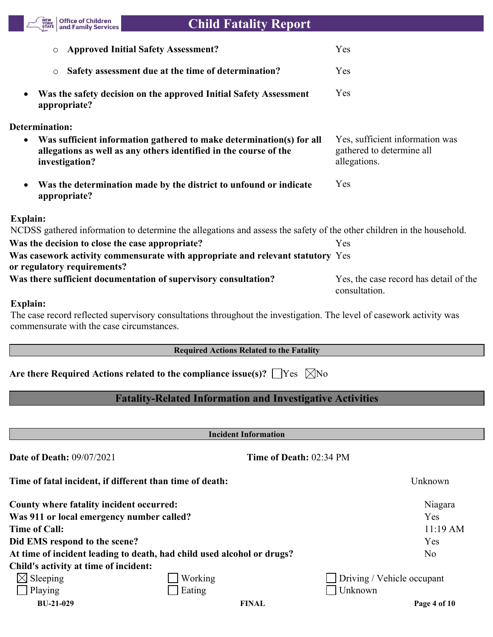

# **Child Fatality Report**

| <b>Approved Initial Safety Assessment?</b>                                                                                                                               | Yes                                                                          |
|--------------------------------------------------------------------------------------------------------------------------------------------------------------------------|------------------------------------------------------------------------------|
| Safety assessment due at the time of determination?<br>$\circ$                                                                                                           | Yes                                                                          |
| Was the safety decision on the approved Initial Safety Assessment<br>$\bullet$<br>appropriate?                                                                           | Yes                                                                          |
| <b>Determination:</b>                                                                                                                                                    |                                                                              |
| Was sufficient information gathered to make determination(s) for all<br>$\bullet$<br>allegations as well as any others identified in the course of the<br>investigation? | Yes, sufficient information was<br>gathered to determine all<br>allegations. |
| Was the determination made by the district to unfound or indicate<br>$\bullet$<br>appropriate?                                                                           | Yes                                                                          |
| Explain:                                                                                                                                                                 |                                                                              |
| NCDSS gathered information to determine the allegations and assess the safety of the other children in the household.                                                    |                                                                              |
| Was the decision to close the case appropriate?                                                                                                                          | Yes                                                                          |
| Was casework activity commensurate with appropriate and relevant statutory Yes<br>or regulatory requirements?                                                            |                                                                              |
| Was there sufficient documentation of supervisory consultation?                                                                                                          | Yes, the case record has detail of the<br>consultation.                      |
| <b>Explain:</b>                                                                                                                                                          |                                                                              |
| The case record reflected supervisory consultations throughout the investigation. The level of casework activity was<br>commensurate with the case circumstances.        |                                                                              |

## **Required Actions Related to the Fatality**

| Are there Required Actions related to the compliance issue(s)? $\Box$ Yes $\Box$ No |  |  |
|-------------------------------------------------------------------------------------|--|--|
|-------------------------------------------------------------------------------------|--|--|

# **Fatality-Related Information and Investigative Activities**

**Incident Information**

| <b>Date of Death: 09/07/2021</b>          | Time of Death: 02:34 PM                                                |                                   |
|-------------------------------------------|------------------------------------------------------------------------|-----------------------------------|
|                                           | Time of fatal incident, if different than time of death:               | Unknown                           |
| County where fatality incident occurred:  |                                                                        | Niagara                           |
| Was 911 or local emergency number called? |                                                                        | Yes                               |
| <b>Time of Call:</b>                      |                                                                        | $11:19$ AM                        |
| Did EMS respond to the scene?             |                                                                        | Yes                               |
|                                           | At time of incident leading to death, had child used alcohol or drugs? | No                                |
| Child's activity at time of incident:     |                                                                        |                                   |
| $\boxtimes$ Sleeping                      | Working                                                                | $\Box$ Driving / Vehicle occupant |
| Playing                                   | Eating                                                                 | Unknown                           |
| <b>BU-21-029</b>                          | <b>FINAL</b>                                                           | Page 4 of 10                      |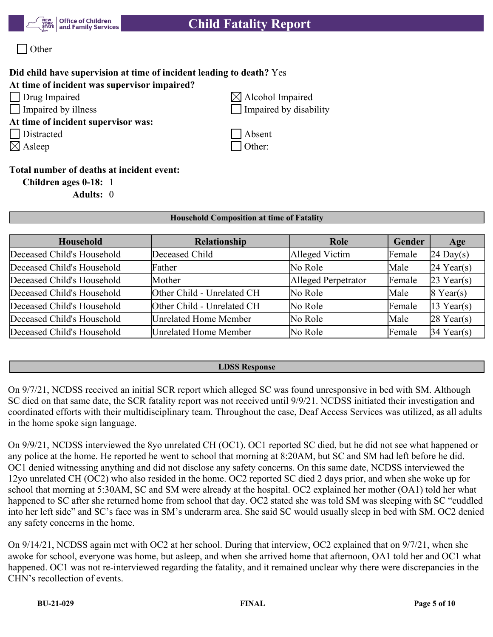



# **Did child have supervision at time of incident leading to death?** Yes

#### **At time of incident was supervisor impaired?**

**At time of incident supervisor was:**

Distracted Absent

 $\boxtimes$  Asleep  $\Box$  Other:

 $\Box$  Drug Impaired  $\Box$  Alcohol Impaired Impaired by illness Impaired by disability

#### **Total number of deaths at incident event:**

**Children ages 0-18:** 1

**Adults:** 0

#### **Household Composition at time of Fatality**

| Household                  | <b>Relationship</b>        | Role                | Gender | Age                 |
|----------------------------|----------------------------|---------------------|--------|---------------------|
| Deceased Child's Household | Deceased Child             | Alleged Victim      | Female | $24 \text{ Day}(s)$ |
| Deceased Child's Household | Father                     | No Role             | Male   | $24$ Year(s)        |
| Deceased Child's Household | Mother                     | Alleged Perpetrator | Female | $23$ Year(s)        |
| Deceased Child's Household | Other Child - Unrelated CH | No Role             | Male   | $8$ Year(s)         |
| Deceased Child's Household | Other Child - Unrelated CH | No Role             | Female | $13$ Year(s)        |
| Deceased Child's Household | Unrelated Home Member      | No Role             | Male   | $28$ Year(s)        |
| Deceased Child's Household | Unrelated Home Member      | No Role             | Female | $34$ Year(s)        |

#### **LDSS Response**

On 9/7/21, NCDSS received an initial SCR report which alleged SC was found unresponsive in bed with SM. Although SC died on that same date, the SCR fatality report was not received until 9/9/21. NCDSS initiated their investigation and coordinated efforts with their multidisciplinary team. Throughout the case, Deaf Access Services was utilized, as all adults in the home spoke sign language.

On 9/9/21, NCDSS interviewed the 8yo unrelated CH (OC1). OC1 reported SC died, but he did not see what happened or any police at the home. He reported he went to school that morning at 8:20AM, but SC and SM had left before he did. OC1 denied witnessing anything and did not disclose any safety concerns. On this same date, NCDSS interviewed the 12yo unrelated CH (OC2) who also resided in the home. OC2 reported SC died 2 days prior, and when she woke up for school that morning at 5:30AM, SC and SM were already at the hospital. OC2 explained her mother (OA1) told her what happened to SC after she returned home from school that day. OC2 stated she was told SM was sleeping with SC "cuddled into her left side" and SC's face was in SM's underarm area. She said SC would usually sleep in bed with SM. OC2 denied any safety concerns in the home.

On 9/14/21, NCDSS again met with OC2 at her school. During that interview, OC2 explained that on 9/7/21, when she awoke for school, everyone was home, but asleep, and when she arrived home that afternoon, OA1 told her and OC1 what happened. OC1 was not re-interviewed regarding the fatality, and it remained unclear why there were discrepancies in the CHN's recollection of events.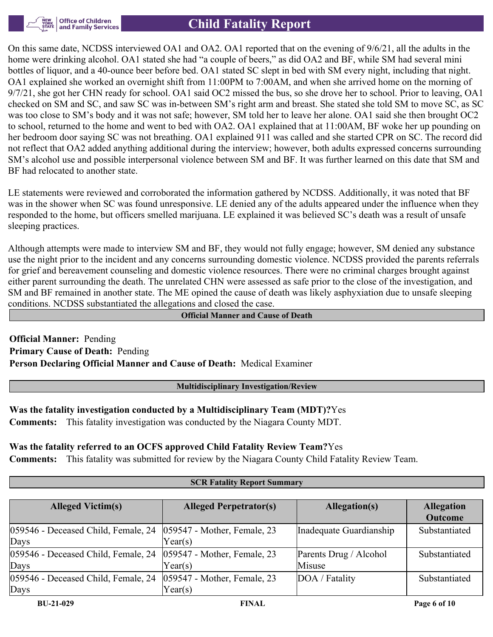

On this same date, NCDSS interviewed OA1 and OA2. OA1 reported that on the evening of 9/6/21, all the adults in the home were drinking alcohol. OA1 stated she had "a couple of beers," as did OA2 and BF, while SM had several mini bottles of liquor, and a 40-ounce beer before bed. OA1 stated SC slept in bed with SM every night, including that night. OA1 explained she worked an overnight shift from 11:00PM to 7:00AM, and when she arrived home on the morning of 9/7/21, she got her CHN ready for school. OA1 said OC2 missed the bus, so she drove her to school. Prior to leaving, OA1 checked on SM and SC, and saw SC was in-between SM's right arm and breast. She stated she told SM to move SC, as SC was too close to SM's body and it was not safe; however, SM told her to leave her alone. OA1 said she then brought OC2 to school, returned to the home and went to bed with OA2. OA1 explained that at 11:00AM, BF woke her up pounding on her bedroom door saying SC was not breathing. OA1 explained 911 was called and she started CPR on SC. The record did not reflect that OA2 added anything additional during the interview; however, both adults expressed concerns surrounding SM's alcohol use and possible interpersonal violence between SM and BF. It was further learned on this date that SM and BF had relocated to another state.

LE statements were reviewed and corroborated the information gathered by NCDSS. Additionally, it was noted that BF was in the shower when SC was found unresponsive. LE denied any of the adults appeared under the influence when they responded to the home, but officers smelled marijuana. LE explained it was believed SC's death was a result of unsafe sleeping practices.

Although attempts were made to interview SM and BF, they would not fully engage; however, SM denied any substance use the night prior to the incident and any concerns surrounding domestic violence. NCDSS provided the parents referrals for grief and bereavement counseling and domestic violence resources. There were no criminal charges brought against either parent surrounding the death. The unrelated CHN were assessed as safe prior to the close of the investigation, and SM and BF remained in another state. The ME opined the cause of death was likely asphyxiation due to unsafe sleeping conditions. NCDSS substantiated the allegations and closed the case.

**Official Manner and Cause of Death**

**Official Manner:** Pending **Primary Cause of Death:** Pending **Person Declaring Official Manner and Cause of Death:** Medical Examiner

**Multidisciplinary Investigation/Review**

**Was the fatality investigation conducted by a Multidisciplinary Team (MDT)?**Yes **Comments:** This fatality investigation was conducted by the Niagara County MDT.

#### **Was the fatality referred to an OCFS approved Child Fatality Review Team?**Yes

**Comments:** This fatality was submitted for review by the Niagara County Child Fatality Review Team.

#### **SCR Fatality Report Summary**

| <b>Alleged Victim(s)</b>                    | <b>Alleged Perpetrator(s)</b>             | Allegation(s)                    | <b>Allegation</b><br><b>Outcome</b> |
|---------------------------------------------|-------------------------------------------|----------------------------------|-------------------------------------|
| 059546 - Deceased Child, Female, 24<br>Days | $ 059547$ - Mother, Female, 23<br>Year(s) | Inadequate Guardianship          | Substantiated                       |
| 059546 - Deceased Child, Female, 24<br>Days | $ 059547$ - Mother, Female, 23<br>Year(s) | Parents Drug / Alcohol<br>Misuse | Substantiated                       |
| 059546 - Deceased Child, Female, 24<br>Days | 059547 - Mother, Female, 23<br>Year(s)    | DOA / Fatality                   | Substantiated                       |
| <b>BU-21-029</b>                            | <b>FINAL</b>                              |                                  | Page 6 of 10                        |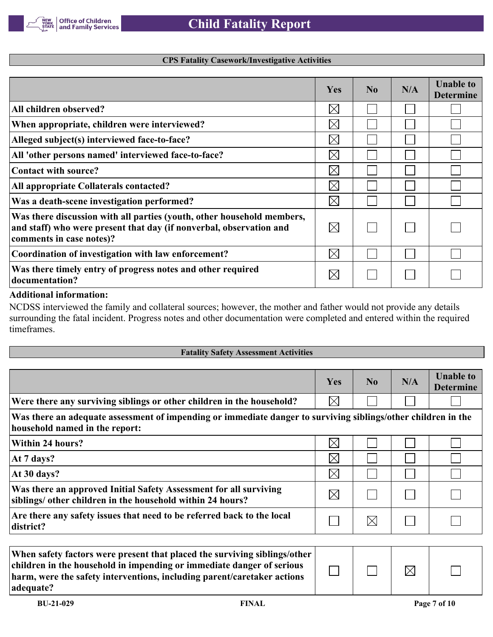**CPS Fatality Casework/Investigative Activities**

|                                                                                                                                                                           | Yes         | N <sub>0</sub> | N/A | <b>Unable to</b><br><b>Determine</b> |
|---------------------------------------------------------------------------------------------------------------------------------------------------------------------------|-------------|----------------|-----|--------------------------------------|
| All children observed?                                                                                                                                                    | $\boxtimes$ |                |     |                                      |
| When appropriate, children were interviewed?                                                                                                                              | $\boxtimes$ |                |     |                                      |
| Alleged subject(s) interviewed face-to-face?                                                                                                                              | $\boxtimes$ |                |     |                                      |
| All 'other persons named' interviewed face-to-face?                                                                                                                       | $\boxtimes$ |                |     |                                      |
| Contact with source?                                                                                                                                                      | $\times$    |                |     |                                      |
| All appropriate Collaterals contacted?                                                                                                                                    | $\boxtimes$ |                |     |                                      |
| Was a death-scene investigation performed?                                                                                                                                | $\boxtimes$ |                |     |                                      |
| Was there discussion with all parties (youth, other household members,<br>and staff) who were present that day (if nonverbal, observation and<br>comments in case notes)? | $\bowtie$   |                |     |                                      |
| Coordination of investigation with law enforcement?                                                                                                                       | $\times$    |                |     |                                      |
| Was there timely entry of progress notes and other required<br>documentation?                                                                                             |             |                |     |                                      |

#### **Additional information:**

NCDSS interviewed the family and collateral sources; however, the mother and father would not provide any details surrounding the fatal incident. Progress notes and other documentation were completed and entered within the required timeframes.

| <b>Fatality Safety Assessment Activities</b>                                                                                                    |             |             |     |                                      |  |
|-------------------------------------------------------------------------------------------------------------------------------------------------|-------------|-------------|-----|--------------------------------------|--|
|                                                                                                                                                 |             |             |     |                                      |  |
|                                                                                                                                                 | <b>Yes</b>  | No          | N/A | <b>Unable to</b><br><b>Determine</b> |  |
| Were there any surviving siblings or other children in the household?                                                                           | $\times$    |             |     |                                      |  |
| Was there an adequate assessment of impending or immediate danger to surviving siblings/other children in the<br>household named in the report: |             |             |     |                                      |  |
| <b>Within 24 hours?</b>                                                                                                                         | $\boxtimes$ |             |     |                                      |  |
| At 7 days?                                                                                                                                      | $\times$    |             |     |                                      |  |
| At 30 days?                                                                                                                                     | $\boxtimes$ |             |     |                                      |  |
| Was there an approved Initial Safety Assessment for all surviving<br>siblings/ other children in the household within 24 hours?                 | $\boxtimes$ |             |     |                                      |  |
| Are there any safety issues that need to be referred back to the local<br>district?                                                             |             | $\boxtimes$ |     |                                      |  |
| ---- - - -                                                                                                                                      |             |             |     |                                      |  |

| When safety factors were present that placed the surviving siblings/other  <br>children in the household in impending or immediate danger of serious |  |  |
|------------------------------------------------------------------------------------------------------------------------------------------------------|--|--|
| harm, were the safety interventions, including parent/caretaker actions                                                                              |  |  |
| adequate?                                                                                                                                            |  |  |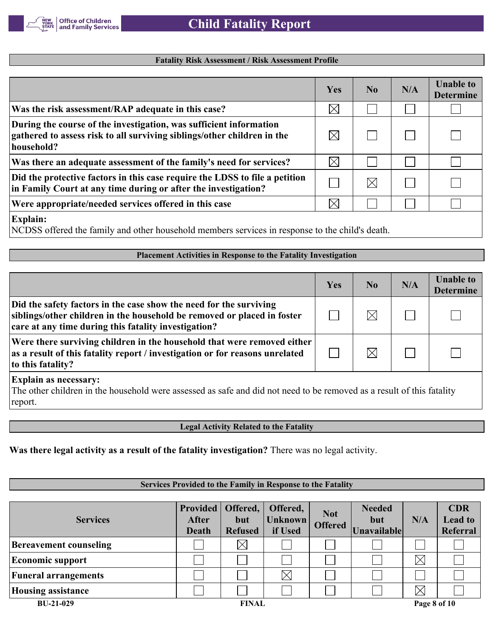

#### **Fatality Risk Assessment / Risk Assessment Profile**

|                                                                                                                                                             | Yes                  | No.         | N/A | <b>Unable to</b><br><b>Determine</b> |
|-------------------------------------------------------------------------------------------------------------------------------------------------------------|----------------------|-------------|-----|--------------------------------------|
| Was the risk assessment/RAP adequate in this case?                                                                                                          | $\boxtimes$          |             |     |                                      |
| During the course of the investigation, was sufficient information<br>gathered to assess risk to all surviving siblings/other children in the<br>household? |                      |             |     |                                      |
| Was there an adequate assessment of the family's need for services?                                                                                         | $\boxtimes$          |             |     |                                      |
| Did the protective factors in this case require the LDSS to file a petition<br>in Family Court at any time during or after the investigation?               |                      | $\boxtimes$ |     |                                      |
| Were appropriate/needed services offered in this case                                                                                                       | $\mathord{\times}$ l |             |     |                                      |
| <b>Explain:</b>                                                                                                                                             |                      |             |     |                                      |

NCDSS offered the family and other household members services in response to the child's death.

#### **Placement Activities in Response to the Fatality Investigation**

|                                                                                                                                                                                                       | Yes | No.         | N/A | <b>Unable to</b><br><b>Determine</b> |  |
|-------------------------------------------------------------------------------------------------------------------------------------------------------------------------------------------------------|-----|-------------|-----|--------------------------------------|--|
| Did the safety factors in the case show the need for the surviving<br>siblings/other children in the household be removed or placed in foster<br>care at any time during this fatality investigation? |     | $\boxtimes$ |     |                                      |  |
| Were there surviving children in the household that were removed either<br>as a result of this fatality report / investigation or for reasons unrelated<br>to this fatality?                          |     |             |     |                                      |  |
| <b>Explain as necessary:</b><br>The other children in the household were assessed as safe and did not need to be removed as a result of this fatality<br>report.                                      |     |             |     |                                      |  |

**Legal Activity Related to the Fatality**

**Was there legal activity as a result of the fatality investigation?** There was no legal activity.

#### **Services Provided to the Family in Response to the Fatality**

| <b>Services</b>               | <b>Provided</b><br>After<br>Death | Offered,<br>but<br><b>Refused</b> | Offered,<br><b>Unknown</b><br>if Used | <b>Not</b><br><b>Offered</b> | <b>Needed</b><br>but<br>Unavailable | N/A          | <b>CDR</b><br><b>Lead to</b><br>Referral |
|-------------------------------|-----------------------------------|-----------------------------------|---------------------------------------|------------------------------|-------------------------------------|--------------|------------------------------------------|
| <b>Bereavement counseling</b> |                                   | $\boxtimes$                       |                                       |                              |                                     |              |                                          |
| <b>Economic support</b>       |                                   |                                   |                                       |                              |                                     | $\times$     |                                          |
| <b>Funeral arrangements</b>   |                                   |                                   | $\boxtimes$                           |                              |                                     |              |                                          |
| <b>Housing assistance</b>     |                                   |                                   |                                       |                              |                                     | $\times$     |                                          |
| <b>BU-21-029</b>              |                                   | <b>FINAL</b>                      |                                       |                              |                                     | Page 8 of 10 |                                          |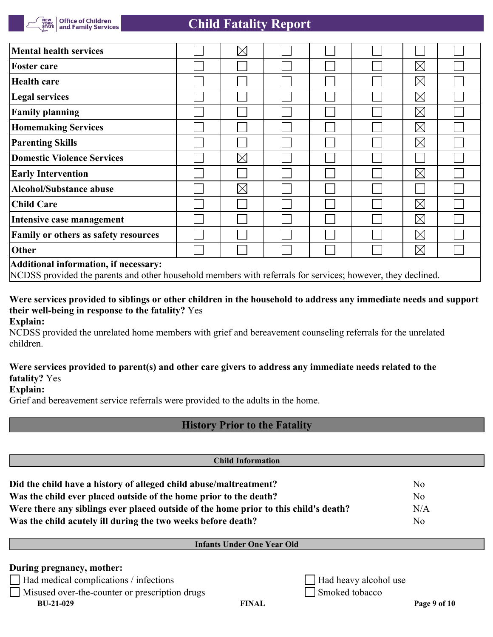| <b>Mental health services</b>                                                                                                                        |  | $\boxtimes$ |  |  |  |             |  |  |
|------------------------------------------------------------------------------------------------------------------------------------------------------|--|-------------|--|--|--|-------------|--|--|
| <b>Foster care</b>                                                                                                                                   |  |             |  |  |  | $\boxtimes$ |  |  |
| <b>Health care</b>                                                                                                                                   |  |             |  |  |  | $\boxtimes$ |  |  |
| Legal services                                                                                                                                       |  |             |  |  |  | $\boxtimes$ |  |  |
| <b>Family planning</b>                                                                                                                               |  |             |  |  |  | $\boxtimes$ |  |  |
| <b>Homemaking Services</b>                                                                                                                           |  |             |  |  |  | $\boxtimes$ |  |  |
| <b>Parenting Skills</b>                                                                                                                              |  |             |  |  |  | $\boxtimes$ |  |  |
| <b>Domestic Violence Services</b>                                                                                                                    |  | $\times$    |  |  |  |             |  |  |
| <b>Early Intervention</b>                                                                                                                            |  |             |  |  |  | $\boxtimes$ |  |  |
| <b>Alcohol/Substance abuse</b>                                                                                                                       |  | $\boxtimes$ |  |  |  |             |  |  |
| <b>Child Care</b>                                                                                                                                    |  |             |  |  |  | $\boxtimes$ |  |  |
| Intensive case management                                                                                                                            |  |             |  |  |  | $\boxtimes$ |  |  |
| Family or others as safety resources                                                                                                                 |  |             |  |  |  | $\boxtimes$ |  |  |
| Other                                                                                                                                                |  |             |  |  |  | $\boxtimes$ |  |  |
| Additional information, if necessary:<br>NCDSS provided the parents and other household members with referrals for services; however, they declined. |  |             |  |  |  |             |  |  |

**Were services provided to siblings or other children in the household to address any immediate needs and support their well-being in response to the fatality?** Yes

**Explain:**

NCDSS provided the unrelated home members with grief and bereavement counseling referrals for the unrelated children.

#### **Were services provided to parent(s) and other care givers to address any immediate needs related to the fatality?** Yes

**Explain:**

Grief and bereavement service referrals were provided to the adults in the home.

## **History Prior to the Fatality**

| <b>Child Information</b>                                                             |                       |                |  |  |  |  |  |
|--------------------------------------------------------------------------------------|-----------------------|----------------|--|--|--|--|--|
| Did the child have a history of alleged child abuse/maltreatment?                    |                       | N <sub>o</sub> |  |  |  |  |  |
| Was the child ever placed outside of the home prior to the death?                    | N <sub>o</sub>        |                |  |  |  |  |  |
| Were there any siblings ever placed outside of the home prior to this child's death? | N/A                   |                |  |  |  |  |  |
| Was the child acutely ill during the two weeks before death?                         |                       | N <sub>o</sub> |  |  |  |  |  |
| <b>Infants Under One Year Old</b>                                                    |                       |                |  |  |  |  |  |
| During pregnancy, mother:                                                            |                       |                |  |  |  |  |  |
| $\Box$ Had medical complications / infections                                        | Had heavy alcohol use |                |  |  |  |  |  |
| $\Box$ Misused over-the-counter or prescription drugs                                | Smoked tobacco        |                |  |  |  |  |  |